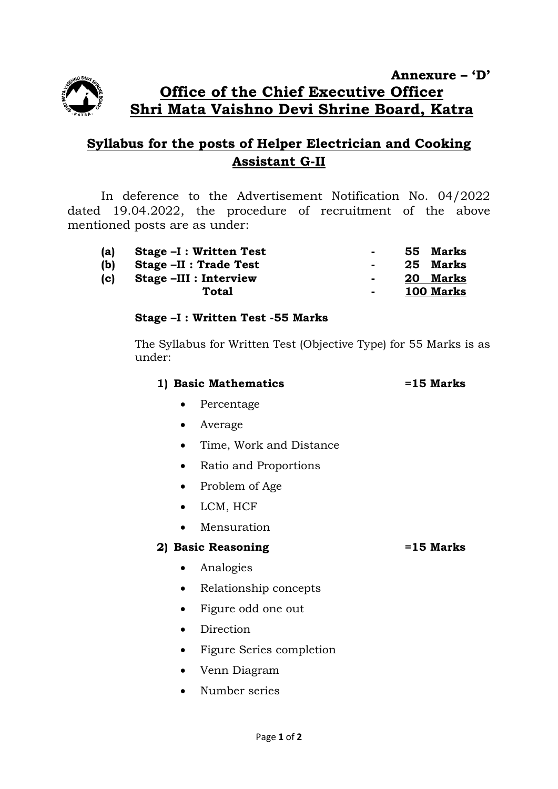

**Annexure – 'D' Office of the Chief Executive Officer Shri Mata Vaishno Devi Shrine Board, Katra**

# **Syllabus for the posts of Helper Electrician and Cooking Assistant G-II**

In deference to the Advertisement Notification No. 04/2022 dated 19.04.2022, the procedure of recruitment of the above mentioned posts are as under:

| (a) | Stage -I : Written Test |        | 55 Marks  |
|-----|-------------------------|--------|-----------|
| (b) | Stage -II : Trade Test  |        | 25 Marks  |
| (c) | Stage -III : Interview  | $\sim$ | 20 Marks  |
|     | Total                   | н.     | 100 Marks |

### **Stage –I : Written Test -55 Marks**

The Syllabus for Written Test (Objective Type) for 55 Marks is as under:

| 1) Basic Mathematics | $=15$ Marks |
|----------------------|-------------|
|----------------------|-------------|

- Percentage
- Average
- Time, Work and Distance
- Ratio and Proportions
- Problem of Age
- LCM, HCF
- Mensuration

### **2) Basic Reasoning =15 Marks**

- Analogies
- Relationship concepts
- Figure odd one out
- Direction
- Figure Series completion
- Venn Diagram
- Number series